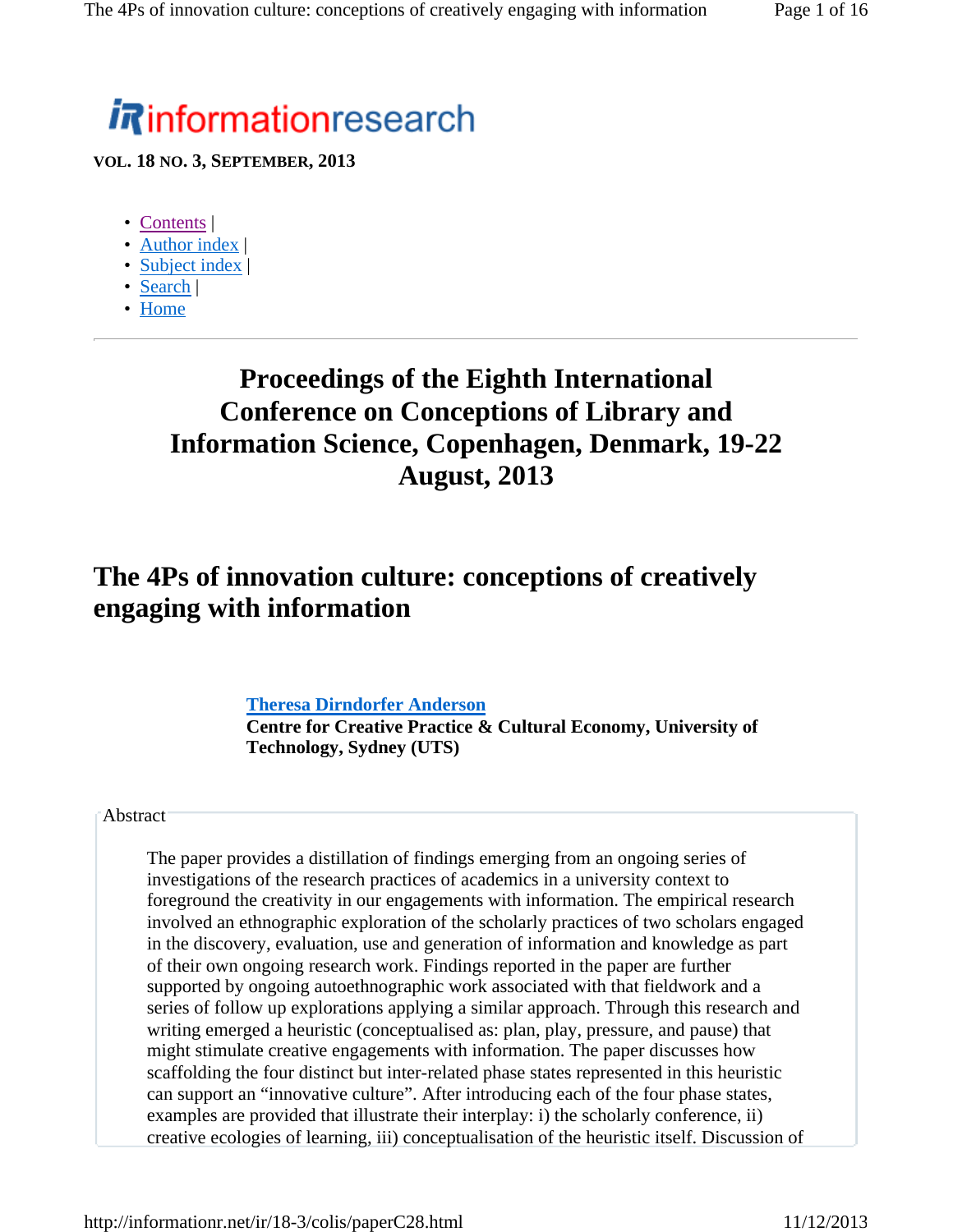# **informationresearch**

**VOL. 18 NO. 3, SEPTEMBER, 2013**

- Contents |
- Author index |
- Subject index |
- Search |
- Home

# **Proceedings of the Eighth International Conference on Conceptions of Library and Information Science, Copenhagen, Denmark, 19-22 August, 2013**

# **The 4Ps of innovation culture: conceptions of creatively engaging with information**

#### **Theresa Dirndorfer Anderson**

**Centre for Creative Practice & Cultural Economy, University of Technology, Sydney (UTS)**

#### **Abstract**

The paper provides a distillation of findings emerging from an ongoing series of investigations of the research practices of academics in a university context to foreground the creativity in our engagements with information. The empirical research involved an ethnographic exploration of the scholarly practices of two scholars engaged in the discovery, evaluation, use and generation of information and knowledge as part of their own ongoing research work. Findings reported in the paper are further supported by ongoing autoethnographic work associated with that fieldwork and a series of follow up explorations applying a similar approach. Through this research and writing emerged a heuristic (conceptualised as: plan, play, pressure, and pause) that might stimulate creative engagements with information. The paper discusses how scaffolding the four distinct but inter-related phase states represented in this heuristic can support an "innovative culture". After introducing each of the four phase states, examples are provided that illustrate their interplay: i) the scholarly conference, ii) creative ecologies of learning, iii) conceptualisation of the heuristic itself. Discussion of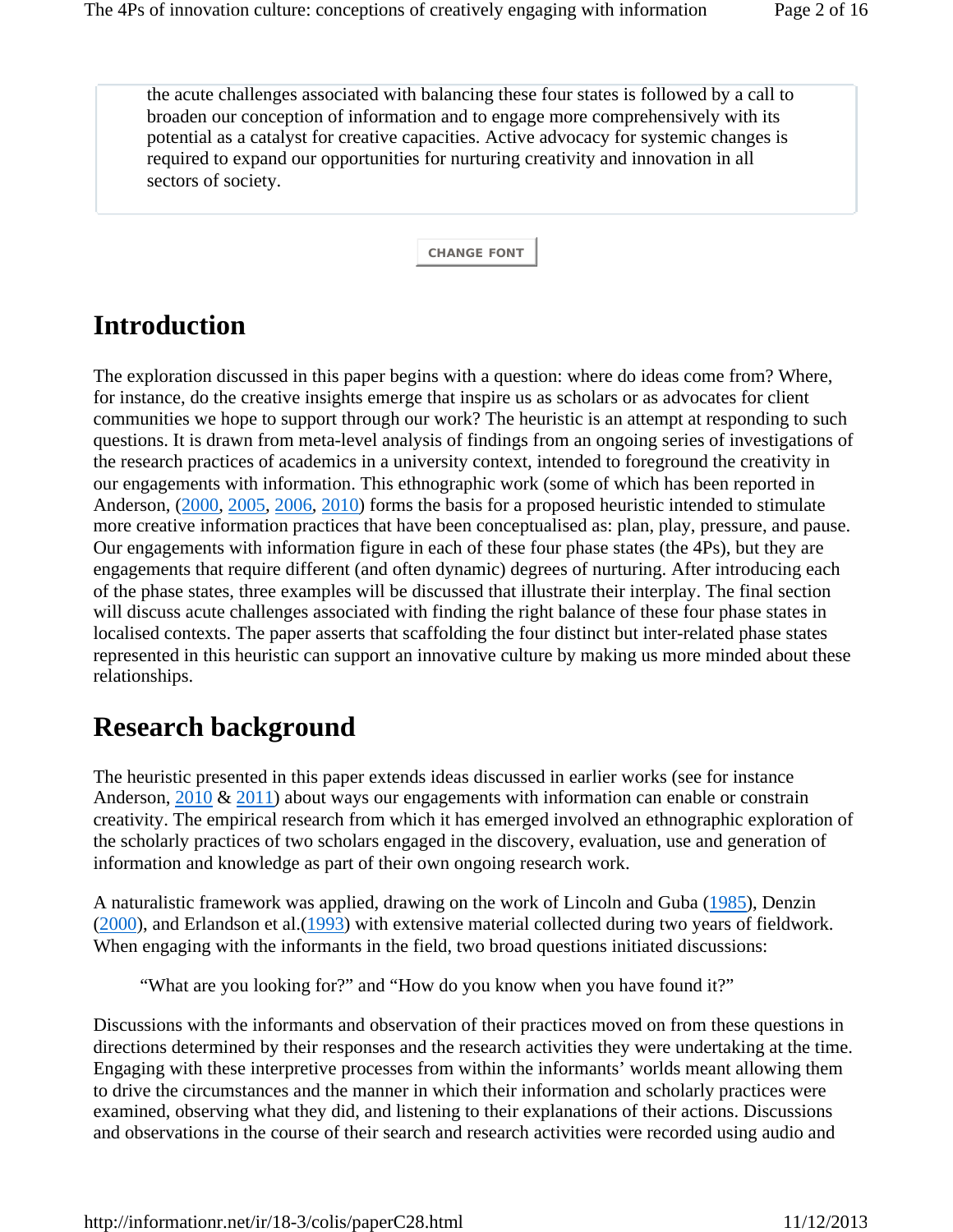the acute challenges associated with balancing these four states is followed by a call to broaden our conception of information and to engage more comprehensively with its potential as a catalyst for creative capacities. Active advocacy for systemic changes is required to expand our opportunities for nurturing creativity and innovation in all sectors of society.

**CHANGE FONT**

# **Introduction**

The exploration discussed in this paper begins with a question: where do ideas come from? Where, for instance, do the creative insights emerge that inspire us as scholars or as advocates for client communities we hope to support through our work? The heuristic is an attempt at responding to such questions. It is drawn from meta-level analysis of findings from an ongoing series of investigations of the research practices of academics in a university context, intended to foreground the creativity in our engagements with information. This ethnographic work (some of which has been reported in Anderson, (2000, 2005, 2006, 2010) forms the basis for a proposed heuristic intended to stimulate more creative information practices that have been conceptualised as: plan, play, pressure, and pause. Our engagements with information figure in each of these four phase states (the 4Ps), but they are engagements that require different (and often dynamic) degrees of nurturing. After introducing each of the phase states, three examples will be discussed that illustrate their interplay. The final section will discuss acute challenges associated with finding the right balance of these four phase states in localised contexts. The paper asserts that scaffolding the four distinct but inter-related phase states represented in this heuristic can support an innovative culture by making us more minded about these relationships.

# **Research background**

The heuristic presented in this paper extends ideas discussed in earlier works (see for instance Anderson,  $2010 \& 2011$ ) about ways our engagements with information can enable or constrain creativity. The empirical research from which it has emerged involved an ethnographic exploration of the scholarly practices of two scholars engaged in the discovery, evaluation, use and generation of information and knowledge as part of their own ongoing research work.

A naturalistic framework was applied, drawing on the work of Lincoln and Guba (1985), Denzin (2000), and Erlandson et al.(1993) with extensive material collected during two years of fieldwork. When engaging with the informants in the field, two broad questions initiated discussions:

"What are you looking for?" and "How do you know when you have found it?"

Discussions with the informants and observation of their practices moved on from these questions in directions determined by their responses and the research activities they were undertaking at the time. Engaging with these interpretive processes from within the informants' worlds meant allowing them to drive the circumstances and the manner in which their information and scholarly practices were examined, observing what they did, and listening to their explanations of their actions. Discussions and observations in the course of their search and research activities were recorded using audio and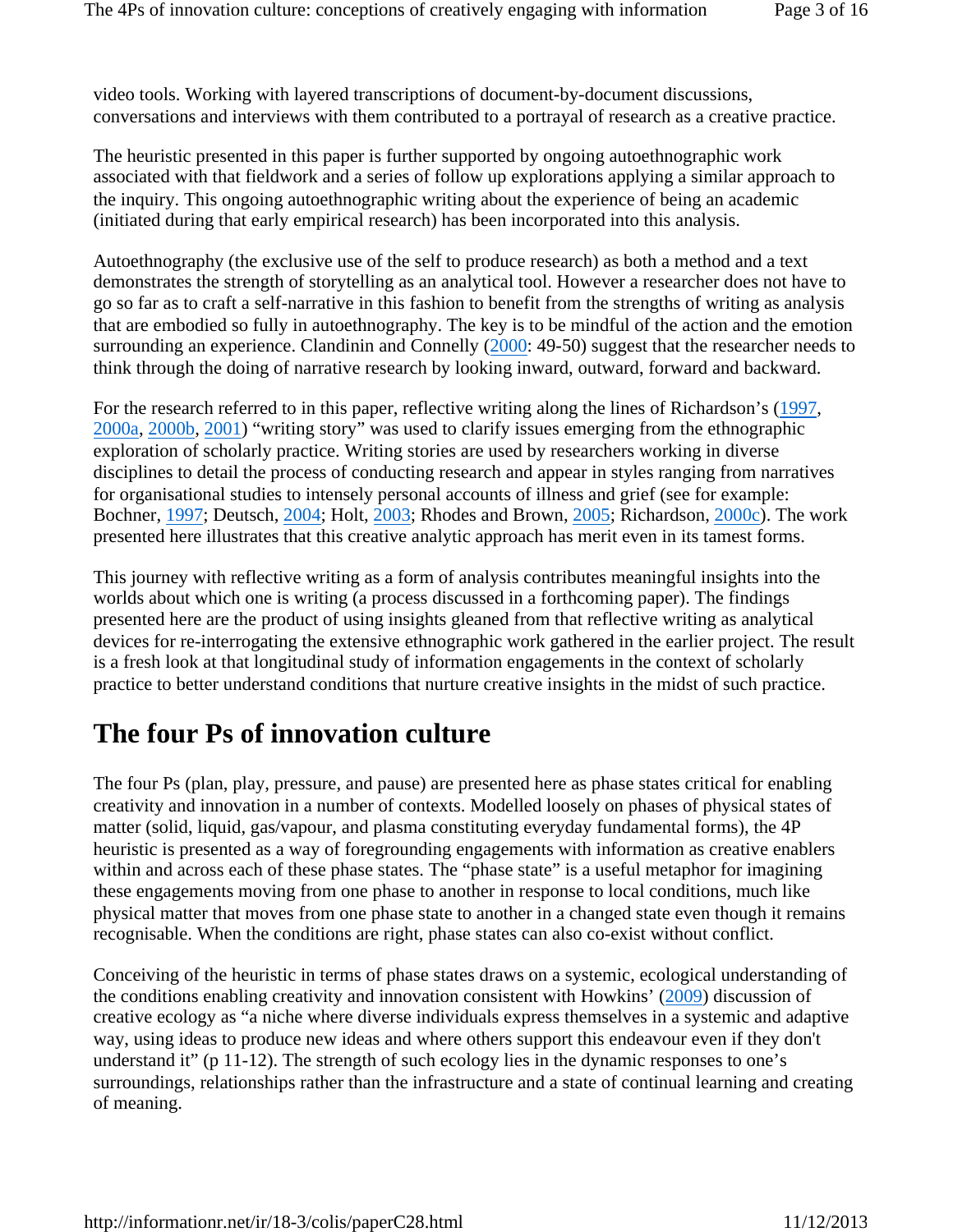video tools. Working with layered transcriptions of document-by-document discussions, conversations and interviews with them contributed to a portrayal of research as a creative practice.

The heuristic presented in this paper is further supported by ongoing autoethnographic work associated with that fieldwork and a series of follow up explorations applying a similar approach to the inquiry. This ongoing autoethnographic writing about the experience of being an academic (initiated during that early empirical research) has been incorporated into this analysis.

Autoethnography (the exclusive use of the self to produce research) as both a method and a text demonstrates the strength of storytelling as an analytical tool. However a researcher does not have to go so far as to craft a self-narrative in this fashion to benefit from the strengths of writing as analysis that are embodied so fully in autoethnography. The key is to be mindful of the action and the emotion surrounding an experience. Clandinin and Connelly (2000: 49-50) suggest that the researcher needs to think through the doing of narrative research by looking inward, outward, forward and backward.

For the research referred to in this paper, reflective writing along the lines of Richardson's (1997, 2000a, 2000b, 2001) "writing story" was used to clarify issues emerging from the ethnographic exploration of scholarly practice. Writing stories are used by researchers working in diverse disciplines to detail the process of conducting research and appear in styles ranging from narratives for organisational studies to intensely personal accounts of illness and grief (see for example: Bochner, 1997; Deutsch, 2004; Holt, 2003; Rhodes and Brown, 2005; Richardson, 2000c). The work presented here illustrates that this creative analytic approach has merit even in its tamest forms.

This journey with reflective writing as a form of analysis contributes meaningful insights into the worlds about which one is writing (a process discussed in a forthcoming paper). The findings presented here are the product of using insights gleaned from that reflective writing as analytical devices for re-interrogating the extensive ethnographic work gathered in the earlier project. The result is a fresh look at that longitudinal study of information engagements in the context of scholarly practice to better understand conditions that nurture creative insights in the midst of such practice.

## **The four Ps of innovation culture**

The four Ps (plan, play, pressure, and pause) are presented here as phase states critical for enabling creativity and innovation in a number of contexts. Modelled loosely on phases of physical states of matter (solid, liquid, gas/vapour, and plasma constituting everyday fundamental forms), the 4P heuristic is presented as a way of foregrounding engagements with information as creative enablers within and across each of these phase states. The "phase state" is a useful metaphor for imagining these engagements moving from one phase to another in response to local conditions, much like physical matter that moves from one phase state to another in a changed state even though it remains recognisable. When the conditions are right, phase states can also co-exist without conflict.

Conceiving of the heuristic in terms of phase states draws on a systemic, ecological understanding of the conditions enabling creativity and innovation consistent with Howkins' (2009) discussion of creative ecology as "a niche where diverse individuals express themselves in a systemic and adaptive way, using ideas to produce new ideas and where others support this endeavour even if they don't understand it" (p 11-12). The strength of such ecology lies in the dynamic responses to one's surroundings, relationships rather than the infrastructure and a state of continual learning and creating of meaning.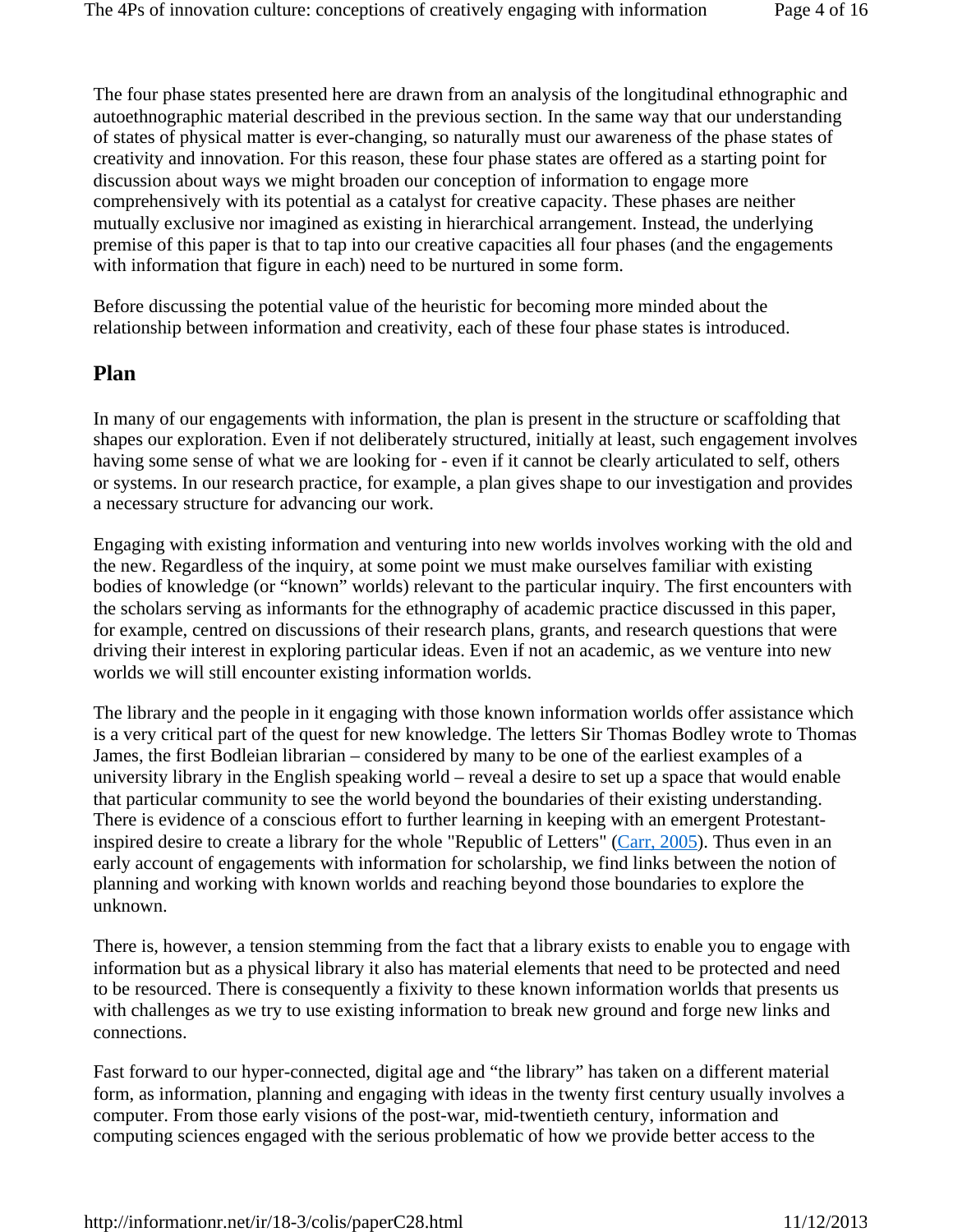The four phase states presented here are drawn from an analysis of the longitudinal ethnographic and autoethnographic material described in the previous section. In the same way that our understanding of states of physical matter is ever-changing, so naturally must our awareness of the phase states of creativity and innovation. For this reason, these four phase states are offered as a starting point for discussion about ways we might broaden our conception of information to engage more comprehensively with its potential as a catalyst for creative capacity. These phases are neither mutually exclusive nor imagined as existing in hierarchical arrangement. Instead, the underlying premise of this paper is that to tap into our creative capacities all four phases (and the engagements with information that figure in each) need to be nurtured in some form.

Before discussing the potential value of the heuristic for becoming more minded about the relationship between information and creativity, each of these four phase states is introduced.

#### **Plan**

In many of our engagements with information, the plan is present in the structure or scaffolding that shapes our exploration. Even if not deliberately structured, initially at least, such engagement involves having some sense of what we are looking for - even if it cannot be clearly articulated to self, others or systems. In our research practice, for example, a plan gives shape to our investigation and provides a necessary structure for advancing our work.

Engaging with existing information and venturing into new worlds involves working with the old and the new. Regardless of the inquiry, at some point we must make ourselves familiar with existing bodies of knowledge (or "known" worlds) relevant to the particular inquiry. The first encounters with the scholars serving as informants for the ethnography of academic practice discussed in this paper, for example, centred on discussions of their research plans, grants, and research questions that were driving their interest in exploring particular ideas. Even if not an academic, as we venture into new worlds we will still encounter existing information worlds.

The library and the people in it engaging with those known information worlds offer assistance which is a very critical part of the quest for new knowledge. The letters Sir Thomas Bodley wrote to Thomas James, the first Bodleian librarian – considered by many to be one of the earliest examples of a university library in the English speaking world – reveal a desire to set up a space that would enable that particular community to see the world beyond the boundaries of their existing understanding. There is evidence of a conscious effort to further learning in keeping with an emergent Protestantinspired desire to create a library for the whole "Republic of Letters" (Carr, 2005). Thus even in an early account of engagements with information for scholarship, we find links between the notion of planning and working with known worlds and reaching beyond those boundaries to explore the unknown.

There is, however, a tension stemming from the fact that a library exists to enable you to engage with information but as a physical library it also has material elements that need to be protected and need to be resourced. There is consequently a fixivity to these known information worlds that presents us with challenges as we try to use existing information to break new ground and forge new links and connections.

Fast forward to our hyper-connected, digital age and "the library" has taken on a different material form, as information, planning and engaging with ideas in the twenty first century usually involves a computer. From those early visions of the post-war, mid-twentieth century, information and computing sciences engaged with the serious problematic of how we provide better access to the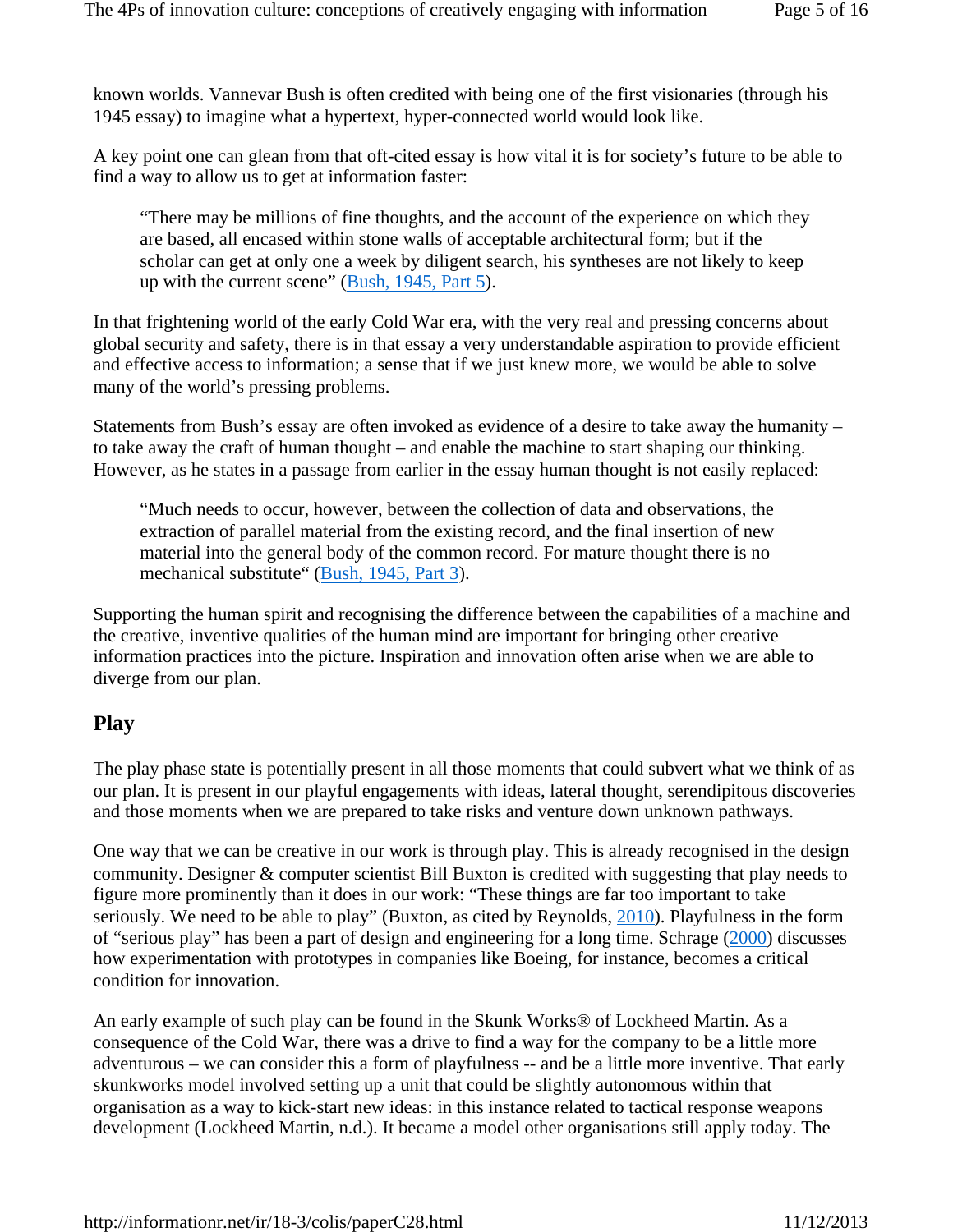known worlds. Vannevar Bush is often credited with being one of the first visionaries (through his 1945 essay) to imagine what a hypertext, hyper-connected world would look like.

A key point one can glean from that oft-cited essay is how vital it is for society's future to be able to find a way to allow us to get at information faster:

"There may be millions of fine thoughts, and the account of the experience on which they are based, all encased within stone walls of acceptable architectural form; but if the scholar can get at only one a week by diligent search, his syntheses are not likely to keep up with the current scene" (Bush, 1945, Part 5).

In that frightening world of the early Cold War era, with the very real and pressing concerns about global security and safety, there is in that essay a very understandable aspiration to provide efficient and effective access to information; a sense that if we just knew more, we would be able to solve many of the world's pressing problems.

Statements from Bush's essay are often invoked as evidence of a desire to take away the humanity – to take away the craft of human thought – and enable the machine to start shaping our thinking. However, as he states in a passage from earlier in the essay human thought is not easily replaced:

"Much needs to occur, however, between the collection of data and observations, the extraction of parallel material from the existing record, and the final insertion of new material into the general body of the common record. For mature thought there is no mechanical substitute" (Bush, 1945, Part 3).

Supporting the human spirit and recognising the difference between the capabilities of a machine and the creative, inventive qualities of the human mind are important for bringing other creative information practices into the picture. Inspiration and innovation often arise when we are able to diverge from our plan.

### **Play**

The play phase state is potentially present in all those moments that could subvert what we think of as our plan. It is present in our playful engagements with ideas, lateral thought, serendipitous discoveries and those moments when we are prepared to take risks and venture down unknown pathways.

One way that we can be creative in our work is through play. This is already recognised in the design community. Designer & computer scientist Bill Buxton is credited with suggesting that play needs to figure more prominently than it does in our work: "These things are far too important to take seriously. We need to be able to play" (Buxton, as cited by Reynolds, 2010). Playfulness in the form of "serious play" has been a part of design and engineering for a long time. Schrage (2000) discusses how experimentation with prototypes in companies like Boeing, for instance, becomes a critical condition for innovation.

An early example of such play can be found in the Skunk Works® of Lockheed Martin. As a consequence of the Cold War, there was a drive to find a way for the company to be a little more adventurous – we can consider this a form of playfulness -- and be a little more inventive. That early skunkworks model involved setting up a unit that could be slightly autonomous within that organisation as a way to kick-start new ideas: in this instance related to tactical response weapons development (Lockheed Martin, n.d.). It became a model other organisations still apply today. The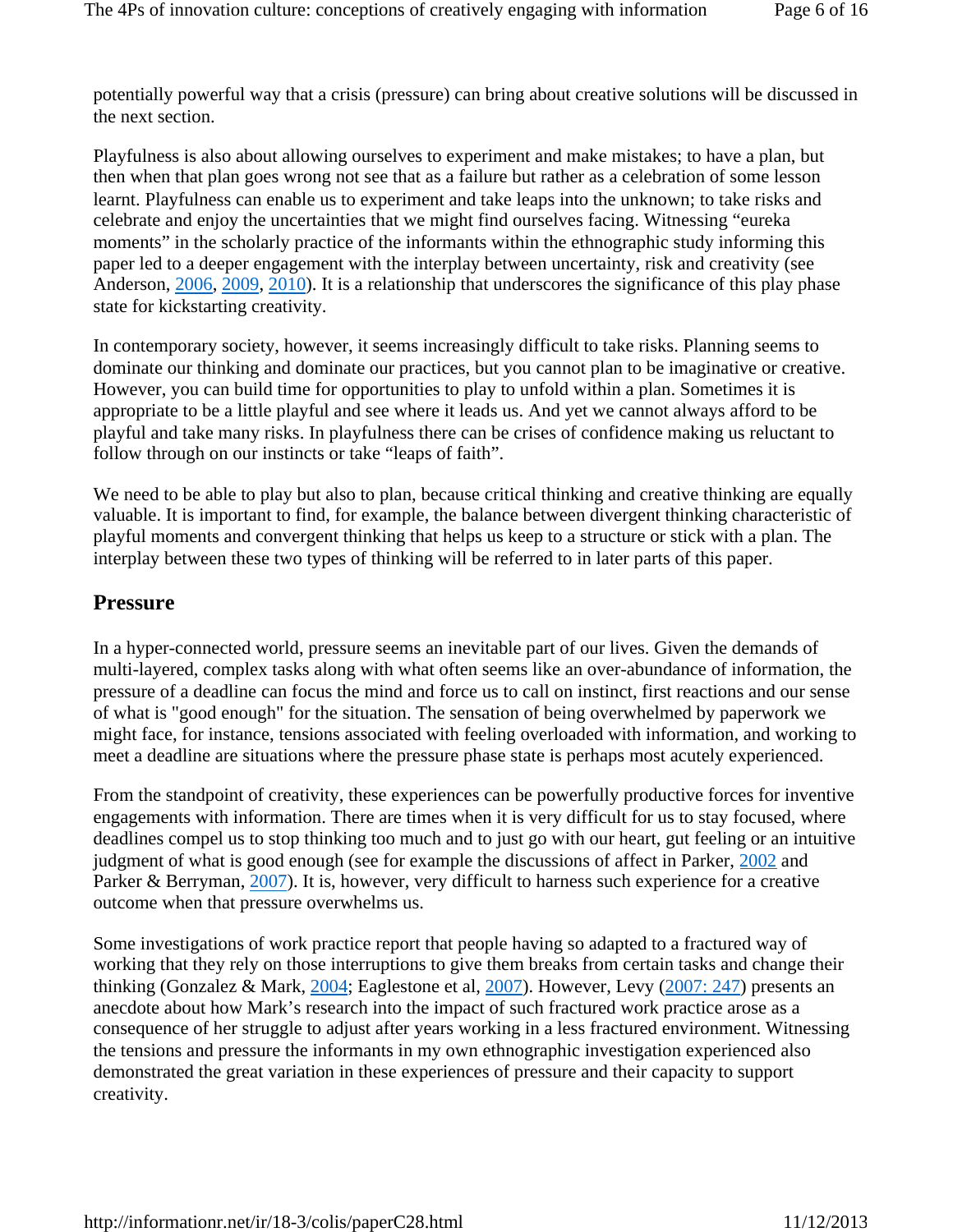potentially powerful way that a crisis (pressure) can bring about creative solutions will be discussed in the next section.

Playfulness is also about allowing ourselves to experiment and make mistakes; to have a plan, but then when that plan goes wrong not see that as a failure but rather as a celebration of some lesson learnt. Playfulness can enable us to experiment and take leaps into the unknown; to take risks and celebrate and enjoy the uncertainties that we might find ourselves facing. Witnessing "eureka moments" in the scholarly practice of the informants within the ethnographic study informing this paper led to a deeper engagement with the interplay between uncertainty, risk and creativity (see Anderson, 2006, 2009, 2010). It is a relationship that underscores the significance of this play phase state for kickstarting creativity.

In contemporary society, however, it seems increasingly difficult to take risks. Planning seems to dominate our thinking and dominate our practices, but you cannot plan to be imaginative or creative. However, you can build time for opportunities to play to unfold within a plan. Sometimes it is appropriate to be a little playful and see where it leads us. And yet we cannot always afford to be playful and take many risks. In playfulness there can be crises of confidence making us reluctant to follow through on our instincts or take "leaps of faith".

We need to be able to play but also to plan, because critical thinking and creative thinking are equally valuable. It is important to find, for example, the balance between divergent thinking characteristic of playful moments and convergent thinking that helps us keep to a structure or stick with a plan. The interplay between these two types of thinking will be referred to in later parts of this paper.

#### **Pressure**

In a hyper-connected world, pressure seems an inevitable part of our lives. Given the demands of multi-layered, complex tasks along with what often seems like an over-abundance of information, the pressure of a deadline can focus the mind and force us to call on instinct, first reactions and our sense of what is "good enough" for the situation. The sensation of being overwhelmed by paperwork we might face, for instance, tensions associated with feeling overloaded with information, and working to meet a deadline are situations where the pressure phase state is perhaps most acutely experienced.

From the standpoint of creativity, these experiences can be powerfully productive forces for inventive engagements with information. There are times when it is very difficult for us to stay focused, where deadlines compel us to stop thinking too much and to just go with our heart, gut feeling or an intuitive judgment of what is good enough (see for example the discussions of affect in Parker, 2002 and Parker & Berryman, 2007). It is, however, very difficult to harness such experience for a creative outcome when that pressure overwhelms us.

Some investigations of work practice report that people having so adapted to a fractured way of working that they rely on those interruptions to give them breaks from certain tasks and change their thinking (Gonzalez & Mark, 2004; Eaglestone et al, 2007). However, Levy (2007: 247) presents an anecdote about how Mark's research into the impact of such fractured work practice arose as a consequence of her struggle to adjust after years working in a less fractured environment. Witnessing the tensions and pressure the informants in my own ethnographic investigation experienced also demonstrated the great variation in these experiences of pressure and their capacity to support creativity.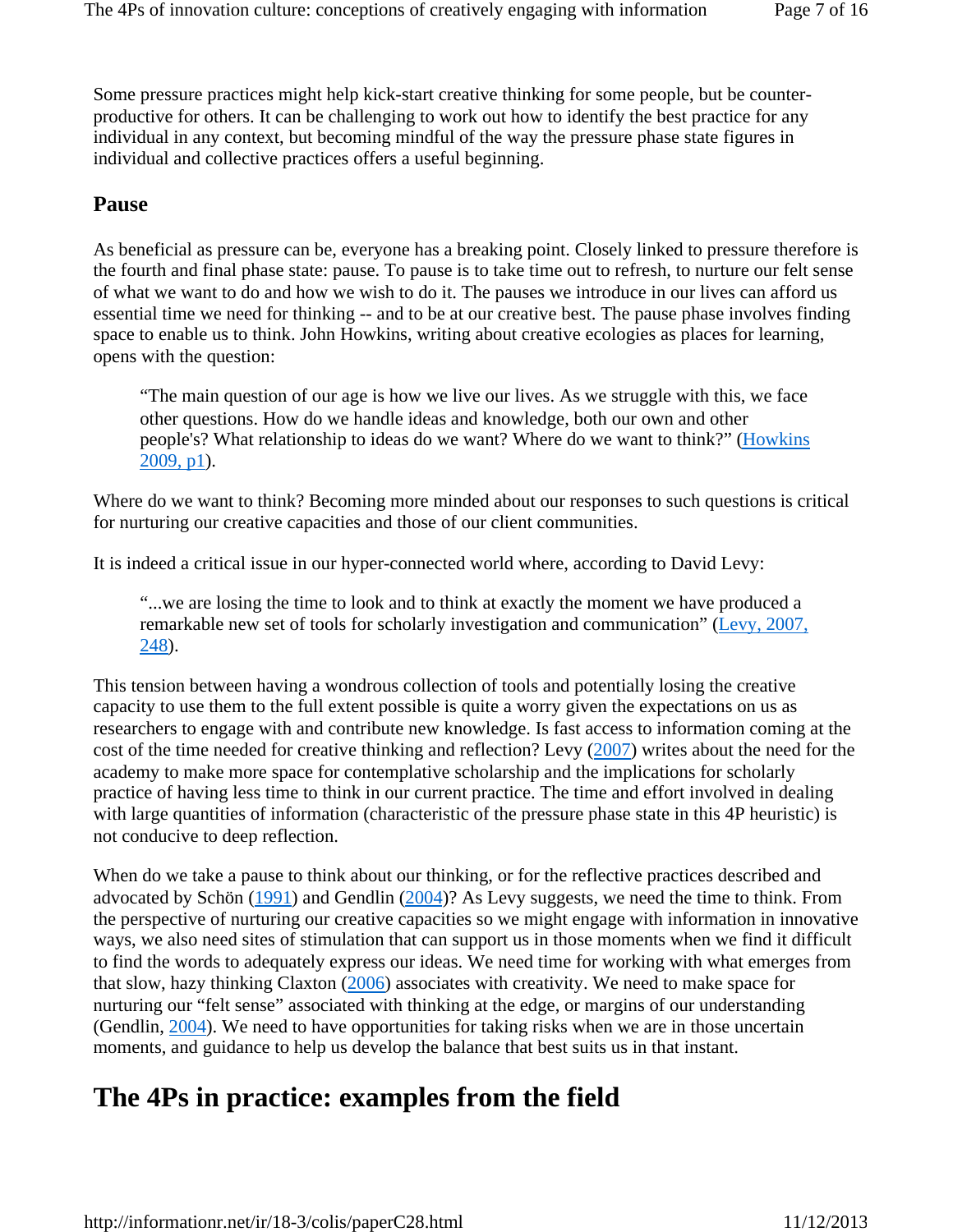Some pressure practices might help kick-start creative thinking for some people, but be counterproductive for others. It can be challenging to work out how to identify the best practice for any individual in any context, but becoming mindful of the way the pressure phase state figures in individual and collective practices offers a useful beginning.

#### **Pause**

As beneficial as pressure can be, everyone has a breaking point. Closely linked to pressure therefore is the fourth and final phase state: pause. To pause is to take time out to refresh, to nurture our felt sense of what we want to do and how we wish to do it. The pauses we introduce in our lives can afford us essential time we need for thinking -- and to be at our creative best. The pause phase involves finding space to enable us to think. John Howkins, writing about creative ecologies as places for learning, opens with the question:

"The main question of our age is how we live our lives. As we struggle with this, we face other questions. How do we handle ideas and knowledge, both our own and other people's? What relationship to ideas do we want? Where do we want to think?" (Howkins 2009, p1).

Where do we want to think? Becoming more minded about our responses to such questions is critical for nurturing our creative capacities and those of our client communities.

It is indeed a critical issue in our hyper-connected world where, according to David Levy:

"...we are losing the time to look and to think at exactly the moment we have produced a remarkable new set of tools for scholarly investigation and communication" (Levy, 2007, 248).

This tension between having a wondrous collection of tools and potentially losing the creative capacity to use them to the full extent possible is quite a worry given the expectations on us as researchers to engage with and contribute new knowledge. Is fast access to information coming at the cost of the time needed for creative thinking and reflection? Levy (2007) writes about the need for the academy to make more space for contemplative scholarship and the implications for scholarly practice of having less time to think in our current practice. The time and effort involved in dealing with large quantities of information (characteristic of the pressure phase state in this 4P heuristic) is not conducive to deep reflection.

When do we take a pause to think about our thinking, or for the reflective practices described and advocated by Schön (1991) and Gendlin (2004)? As Levy suggests, we need the time to think. From the perspective of nurturing our creative capacities so we might engage with information in innovative ways, we also need sites of stimulation that can support us in those moments when we find it difficult to find the words to adequately express our ideas. We need time for working with what emerges from that slow, hazy thinking Claxton (2006) associates with creativity. We need to make space for nurturing our "felt sense" associated with thinking at the edge, or margins of our understanding (Gendlin, 2004). We need to have opportunities for taking risks when we are in those uncertain moments, and guidance to help us develop the balance that best suits us in that instant.

## **The 4Ps in practice: examples from the field**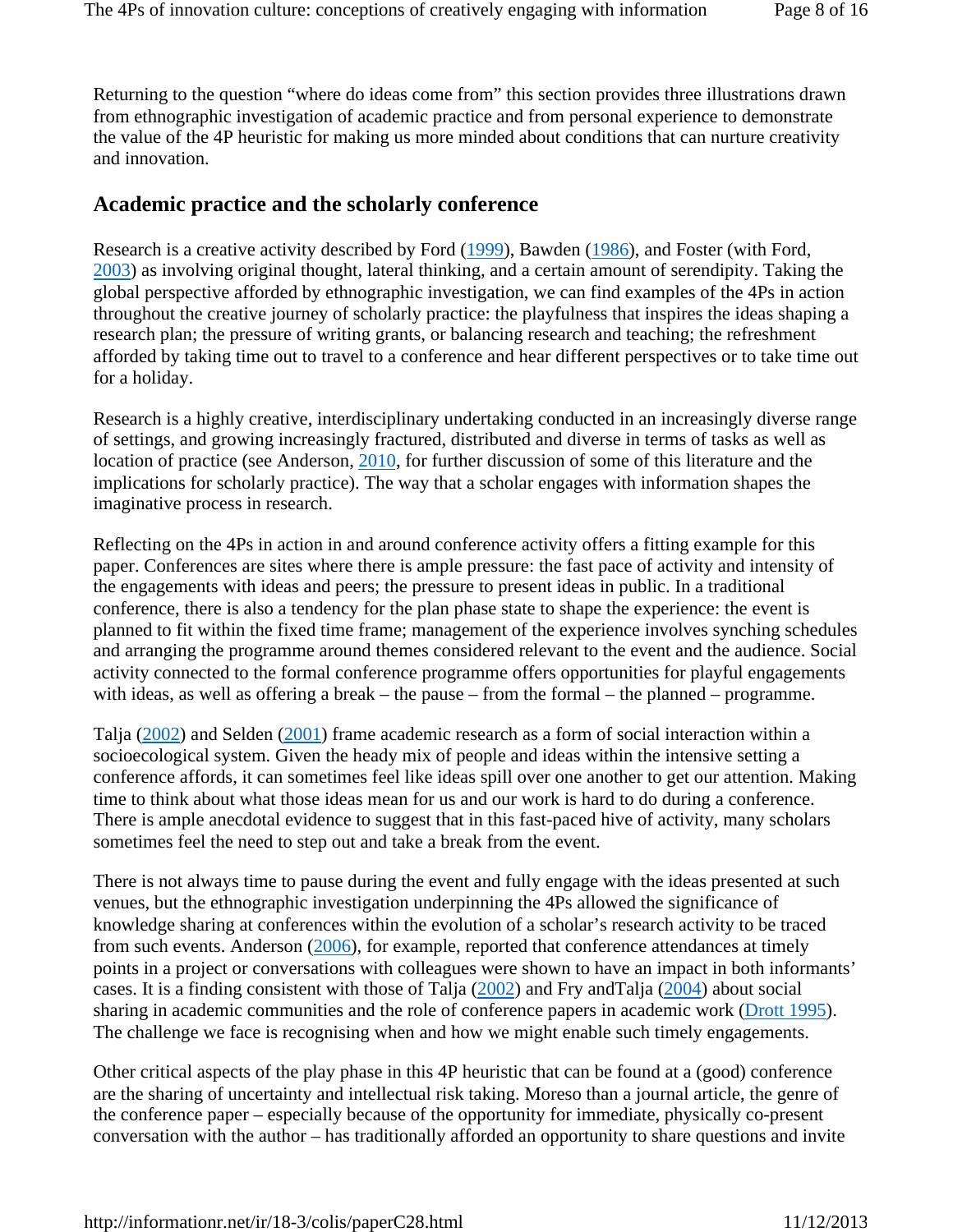Returning to the question "where do ideas come from" this section provides three illustrations drawn from ethnographic investigation of academic practice and from personal experience to demonstrate the value of the 4P heuristic for making us more minded about conditions that can nurture creativity and innovation.

### **Academic practice and the scholarly conference**

Research is a creative activity described by Ford (1999), Bawden (1986), and Foster (with Ford, 2003) as involving original thought, lateral thinking, and a certain amount of serendipity. Taking the global perspective afforded by ethnographic investigation, we can find examples of the 4Ps in action throughout the creative journey of scholarly practice: the playfulness that inspires the ideas shaping a research plan; the pressure of writing grants, or balancing research and teaching; the refreshment afforded by taking time out to travel to a conference and hear different perspectives or to take time out for a holiday.

Research is a highly creative, interdisciplinary undertaking conducted in an increasingly diverse range of settings, and growing increasingly fractured, distributed and diverse in terms of tasks as well as location of practice (see Anderson, 2010, for further discussion of some of this literature and the implications for scholarly practice). The way that a scholar engages with information shapes the imaginative process in research.

Reflecting on the 4Ps in action in and around conference activity offers a fitting example for this paper. Conferences are sites where there is ample pressure: the fast pace of activity and intensity of the engagements with ideas and peers; the pressure to present ideas in public. In a traditional conference, there is also a tendency for the plan phase state to shape the experience: the event is planned to fit within the fixed time frame; management of the experience involves synching schedules and arranging the programme around themes considered relevant to the event and the audience. Social activity connected to the formal conference programme offers opportunities for playful engagements with ideas, as well as offering a break – the pause – from the formal – the planned – programme.

Talja (2002) and Selden (2001) frame academic research as a form of social interaction within a socioecological system. Given the heady mix of people and ideas within the intensive setting a conference affords, it can sometimes feel like ideas spill over one another to get our attention. Making time to think about what those ideas mean for us and our work is hard to do during a conference. There is ample anecdotal evidence to suggest that in this fast-paced hive of activity, many scholars sometimes feel the need to step out and take a break from the event.

There is not always time to pause during the event and fully engage with the ideas presented at such venues, but the ethnographic investigation underpinning the 4Ps allowed the significance of knowledge sharing at conferences within the evolution of a scholar's research activity to be traced from such events. Anderson (2006), for example, reported that conference attendances at timely points in a project or conversations with colleagues were shown to have an impact in both informants' cases. It is a finding consistent with those of Talja (2002) and Fry andTalja (2004) about social sharing in academic communities and the role of conference papers in academic work (Drott 1995). The challenge we face is recognising when and how we might enable such timely engagements.

Other critical aspects of the play phase in this 4P heuristic that can be found at a (good) conference are the sharing of uncertainty and intellectual risk taking. Moreso than a journal article, the genre of the conference paper – especially because of the opportunity for immediate, physically co-present conversation with the author – has traditionally afforded an opportunity to share questions and invite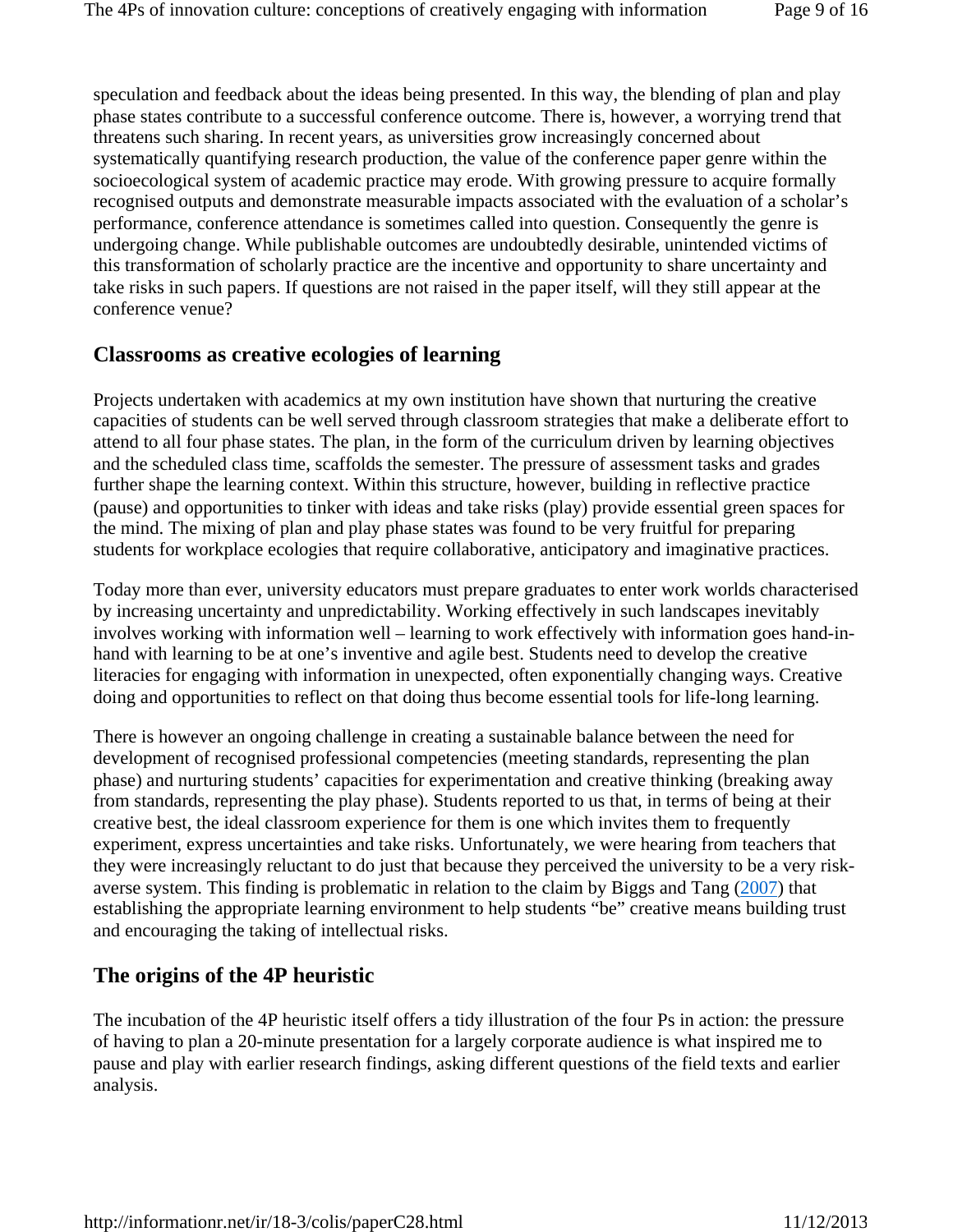speculation and feedback about the ideas being presented. In this way, the blending of plan and play phase states contribute to a successful conference outcome. There is, however, a worrying trend that threatens such sharing. In recent years, as universities grow increasingly concerned about systematically quantifying research production, the value of the conference paper genre within the socioecological system of academic practice may erode. With growing pressure to acquire formally recognised outputs and demonstrate measurable impacts associated with the evaluation of a scholar's performance, conference attendance is sometimes called into question. Consequently the genre is undergoing change. While publishable outcomes are undoubtedly desirable, unintended victims of this transformation of scholarly practice are the incentive and opportunity to share uncertainty and take risks in such papers. If questions are not raised in the paper itself, will they still appear at the conference venue?

### **Classrooms as creative ecologies of learning**

Projects undertaken with academics at my own institution have shown that nurturing the creative capacities of students can be well served through classroom strategies that make a deliberate effort to attend to all four phase states. The plan, in the form of the curriculum driven by learning objectives and the scheduled class time, scaffolds the semester. The pressure of assessment tasks and grades further shape the learning context. Within this structure, however, building in reflective practice (pause) and opportunities to tinker with ideas and take risks (play) provide essential green spaces for the mind. The mixing of plan and play phase states was found to be very fruitful for preparing students for workplace ecologies that require collaborative, anticipatory and imaginative practices.

Today more than ever, university educators must prepare graduates to enter work worlds characterised by increasing uncertainty and unpredictability. Working effectively in such landscapes inevitably involves working with information well – learning to work effectively with information goes hand-inhand with learning to be at one's inventive and agile best. Students need to develop the creative literacies for engaging with information in unexpected, often exponentially changing ways. Creative doing and opportunities to reflect on that doing thus become essential tools for life-long learning.

There is however an ongoing challenge in creating a sustainable balance between the need for development of recognised professional competencies (meeting standards, representing the plan phase) and nurturing students' capacities for experimentation and creative thinking (breaking away from standards, representing the play phase). Students reported to us that, in terms of being at their creative best, the ideal classroom experience for them is one which invites them to frequently experiment, express uncertainties and take risks. Unfortunately, we were hearing from teachers that they were increasingly reluctant to do just that because they perceived the university to be a very riskaverse system. This finding is problematic in relation to the claim by Biggs and Tang (2007) that establishing the appropriate learning environment to help students "be" creative means building trust and encouraging the taking of intellectual risks.

### **The origins of the 4P heuristic**

The incubation of the 4P heuristic itself offers a tidy illustration of the four Ps in action: the pressure of having to plan a 20-minute presentation for a largely corporate audience is what inspired me to pause and play with earlier research findings, asking different questions of the field texts and earlier analysis.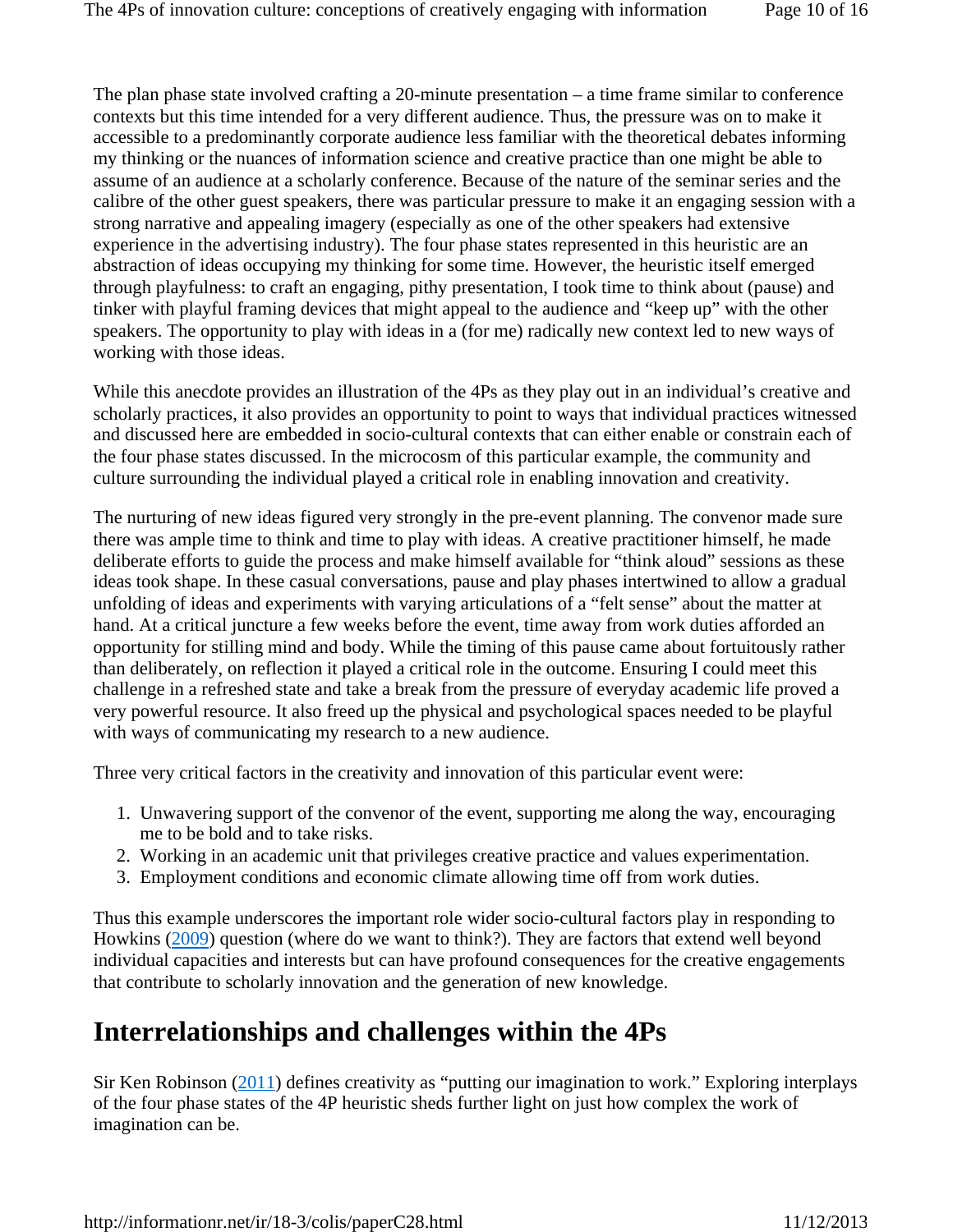The plan phase state involved crafting a 20-minute presentation – a time frame similar to conference contexts but this time intended for a very different audience. Thus, the pressure was on to make it accessible to a predominantly corporate audience less familiar with the theoretical debates informing my thinking or the nuances of information science and creative practice than one might be able to assume of an audience at a scholarly conference. Because of the nature of the seminar series and the calibre of the other guest speakers, there was particular pressure to make it an engaging session with a strong narrative and appealing imagery (especially as one of the other speakers had extensive experience in the advertising industry). The four phase states represented in this heuristic are an abstraction of ideas occupying my thinking for some time. However, the heuristic itself emerged through playfulness: to craft an engaging, pithy presentation, I took time to think about (pause) and tinker with playful framing devices that might appeal to the audience and "keep up" with the other speakers. The opportunity to play with ideas in a (for me) radically new context led to new ways of working with those ideas.

While this anecdote provides an illustration of the 4Ps as they play out in an individual's creative and scholarly practices, it also provides an opportunity to point to ways that individual practices witnessed and discussed here are embedded in socio-cultural contexts that can either enable or constrain each of the four phase states discussed. In the microcosm of this particular example, the community and culture surrounding the individual played a critical role in enabling innovation and creativity.

The nurturing of new ideas figured very strongly in the pre-event planning. The convenor made sure there was ample time to think and time to play with ideas. A creative practitioner himself, he made deliberate efforts to guide the process and make himself available for "think aloud" sessions as these ideas took shape. In these casual conversations, pause and play phases intertwined to allow a gradual unfolding of ideas and experiments with varying articulations of a "felt sense" about the matter at hand. At a critical juncture a few weeks before the event, time away from work duties afforded an opportunity for stilling mind and body. While the timing of this pause came about fortuitously rather than deliberately, on reflection it played a critical role in the outcome. Ensuring I could meet this challenge in a refreshed state and take a break from the pressure of everyday academic life proved a very powerful resource. It also freed up the physical and psychological spaces needed to be playful with ways of communicating my research to a new audience.

Three very critical factors in the creativity and innovation of this particular event were:

- 1. Unwavering support of the convenor of the event, supporting me along the way, encouraging me to be bold and to take risks.
- 2. Working in an academic unit that privileges creative practice and values experimentation.
- 3. Employment conditions and economic climate allowing time off from work duties.

Thus this example underscores the important role wider socio-cultural factors play in responding to Howkins (2009) question (where do we want to think?). They are factors that extend well beyond individual capacities and interests but can have profound consequences for the creative engagements that contribute to scholarly innovation and the generation of new knowledge.

## **Interrelationships and challenges within the 4Ps**

Sir Ken Robinson (2011) defines creativity as "putting our imagination to work." Exploring interplays of the four phase states of the 4P heuristic sheds further light on just how complex the work of imagination can be.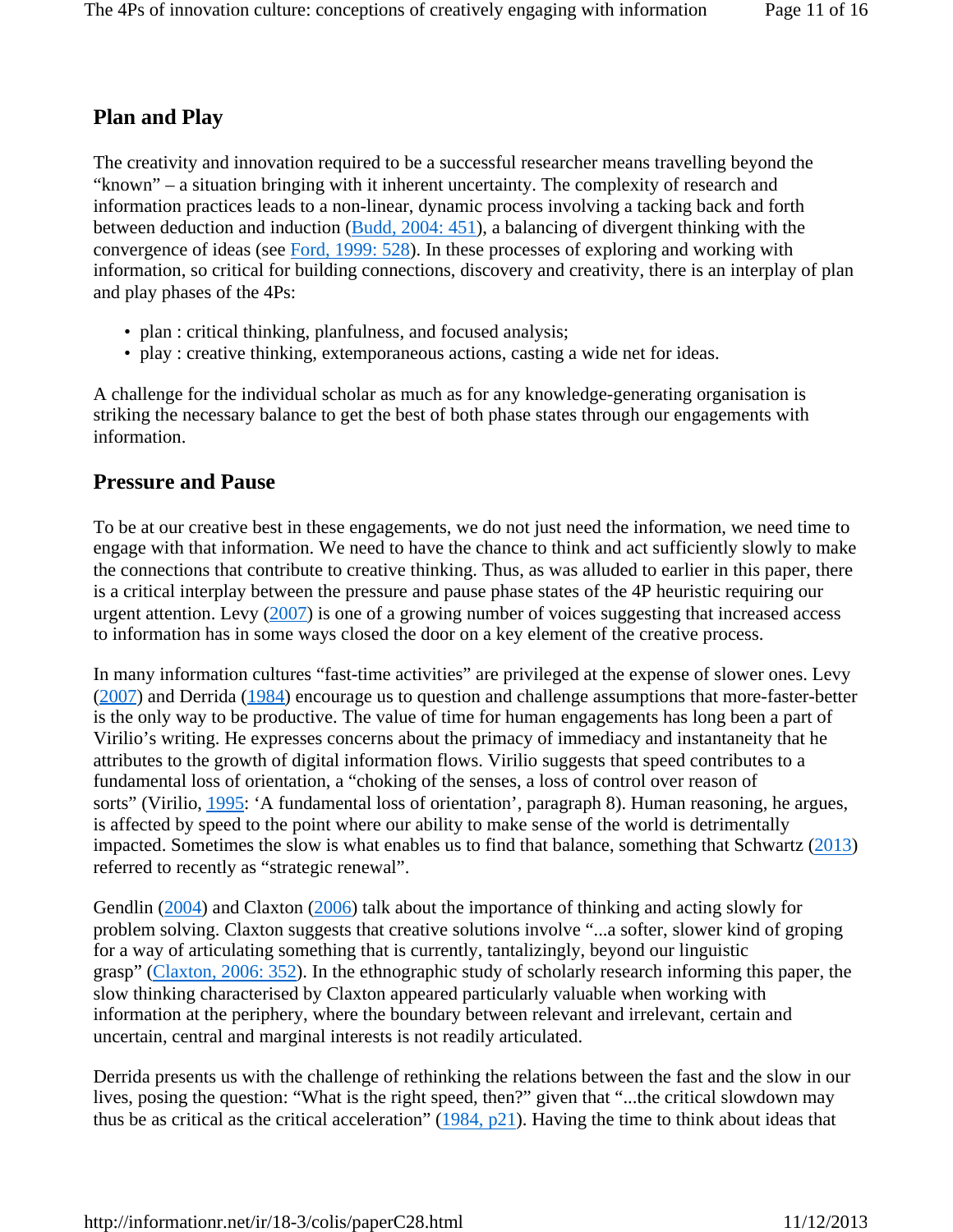### **Plan and Play**

The creativity and innovation required to be a successful researcher means travelling beyond the "known" – a situation bringing with it inherent uncertainty. The complexity of research and information practices leads to a non-linear, dynamic process involving a tacking back and forth between deduction and induction (Budd, 2004: 451), a balancing of divergent thinking with the convergence of ideas (see Ford, 1999: 528). In these processes of exploring and working with information, so critical for building connections, discovery and creativity, there is an interplay of plan and play phases of the 4Ps:

- plan : critical thinking, planfulness, and focused analysis;
- play : creative thinking, extemporaneous actions, casting a wide net for ideas.

A challenge for the individual scholar as much as for any knowledge-generating organisation is striking the necessary balance to get the best of both phase states through our engagements with information.

### **Pressure and Pause**

To be at our creative best in these engagements, we do not just need the information, we need time to engage with that information. We need to have the chance to think and act sufficiently slowly to make the connections that contribute to creative thinking. Thus, as was alluded to earlier in this paper, there is a critical interplay between the pressure and pause phase states of the 4P heuristic requiring our urgent attention. Levy (2007) is one of a growing number of voices suggesting that increased access to information has in some ways closed the door on a key element of the creative process.

In many information cultures "fast-time activities" are privileged at the expense of slower ones. Levy  $(2007)$  and Derrida  $(1984)$  encourage us to question and challenge assumptions that more-faster-better is the only way to be productive. The value of time for human engagements has long been a part of Virilio's writing. He expresses concerns about the primacy of immediacy and instantaneity that he attributes to the growth of digital information flows. Virilio suggests that speed contributes to a fundamental loss of orientation, a "choking of the senses, a loss of control over reason of sorts" (Virilio, 1995: 'A fundamental loss of orientation', paragraph 8). Human reasoning, he argues, is affected by speed to the point where our ability to make sense of the world is detrimentally impacted. Sometimes the slow is what enables us to find that balance, something that Schwartz (2013) referred to recently as "strategic renewal".

Gendlin (2004) and Claxton (2006) talk about the importance of thinking and acting slowly for problem solving. Claxton suggests that creative solutions involve "...a softer, slower kind of groping for a way of articulating something that is currently, tantalizingly, beyond our linguistic grasp" (Claxton, 2006: 352). In the ethnographic study of scholarly research informing this paper, the slow thinking characterised by Claxton appeared particularly valuable when working with information at the periphery, where the boundary between relevant and irrelevant, certain and uncertain, central and marginal interests is not readily articulated.

Derrida presents us with the challenge of rethinking the relations between the fast and the slow in our lives, posing the question: "What is the right speed, then?" given that "...the critical slowdown may thus be as critical as the critical acceleration"  $(1984, p21)$ . Having the time to think about ideas that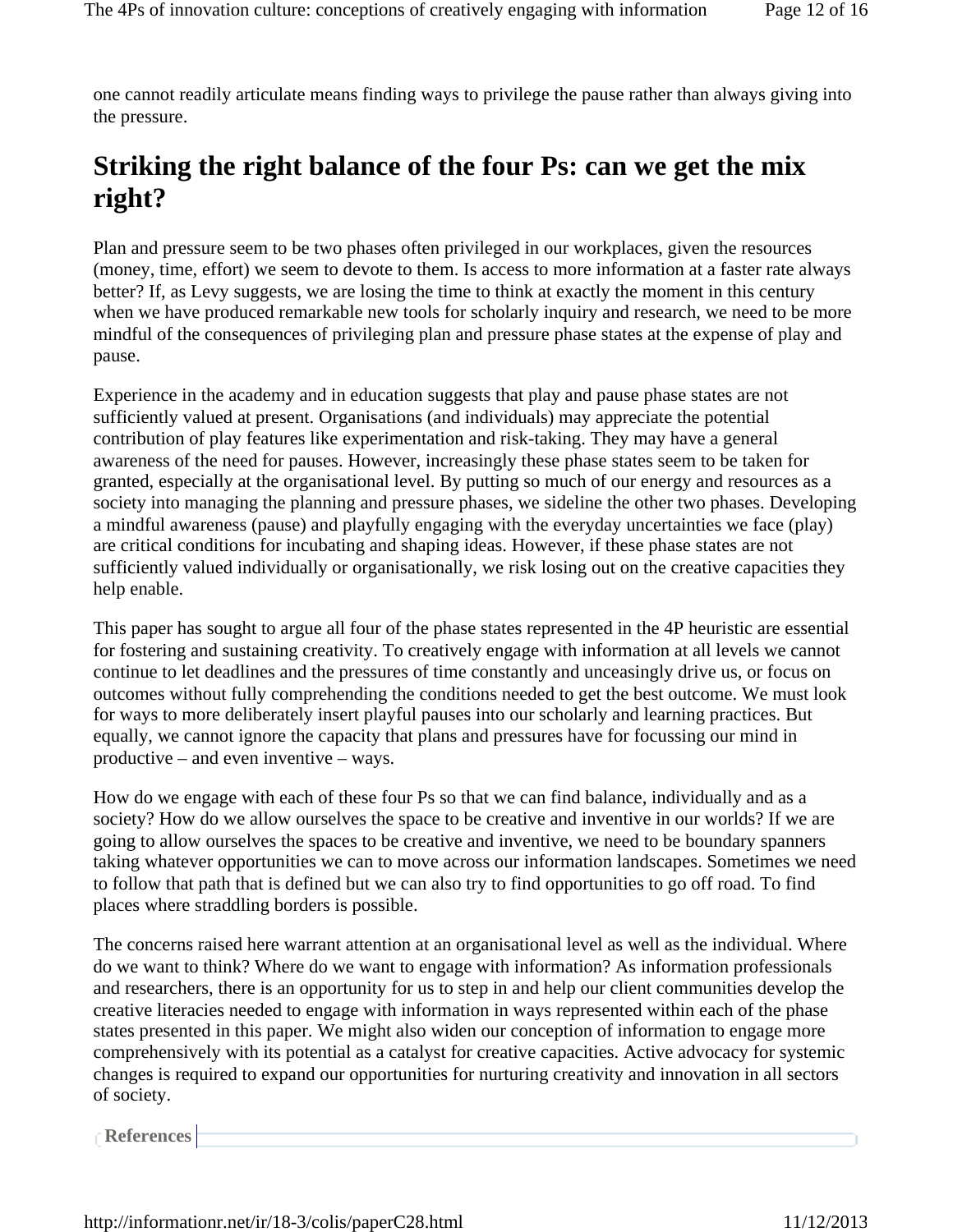one cannot readily articulate means finding ways to privilege the pause rather than always giving into the pressure.

# **Striking the right balance of the four Ps: can we get the mix right?**

Plan and pressure seem to be two phases often privileged in our workplaces, given the resources (money, time, effort) we seem to devote to them. Is access to more information at a faster rate always better? If, as Levy suggests, we are losing the time to think at exactly the moment in this century when we have produced remarkable new tools for scholarly inquiry and research, we need to be more mindful of the consequences of privileging plan and pressure phase states at the expense of play and pause.

Experience in the academy and in education suggests that play and pause phase states are not sufficiently valued at present. Organisations (and individuals) may appreciate the potential contribution of play features like experimentation and risk-taking. They may have a general awareness of the need for pauses. However, increasingly these phase states seem to be taken for granted, especially at the organisational level. By putting so much of our energy and resources as a society into managing the planning and pressure phases, we sideline the other two phases. Developing a mindful awareness (pause) and playfully engaging with the everyday uncertainties we face (play) are critical conditions for incubating and shaping ideas. However, if these phase states are not sufficiently valued individually or organisationally, we risk losing out on the creative capacities they help enable.

This paper has sought to argue all four of the phase states represented in the 4P heuristic are essential for fostering and sustaining creativity. To creatively engage with information at all levels we cannot continue to let deadlines and the pressures of time constantly and unceasingly drive us, or focus on outcomes without fully comprehending the conditions needed to get the best outcome. We must look for ways to more deliberately insert playful pauses into our scholarly and learning practices. But equally, we cannot ignore the capacity that plans and pressures have for focussing our mind in productive – and even inventive – ways.

How do we engage with each of these four Ps so that we can find balance, individually and as a society? How do we allow ourselves the space to be creative and inventive in our worlds? If we are going to allow ourselves the spaces to be creative and inventive, we need to be boundary spanners taking whatever opportunities we can to move across our information landscapes. Sometimes we need to follow that path that is defined but we can also try to find opportunities to go off road. To find places where straddling borders is possible.

The concerns raised here warrant attention at an organisational level as well as the individual. Where do we want to think? Where do we want to engage with information? As information professionals and researchers, there is an opportunity for us to step in and help our client communities develop the creative literacies needed to engage with information in ways represented within each of the phase states presented in this paper. We might also widen our conception of information to engage more comprehensively with its potential as a catalyst for creative capacities. Active advocacy for systemic changes is required to expand our opportunities for nurturing creativity and innovation in all sectors of society.

**References**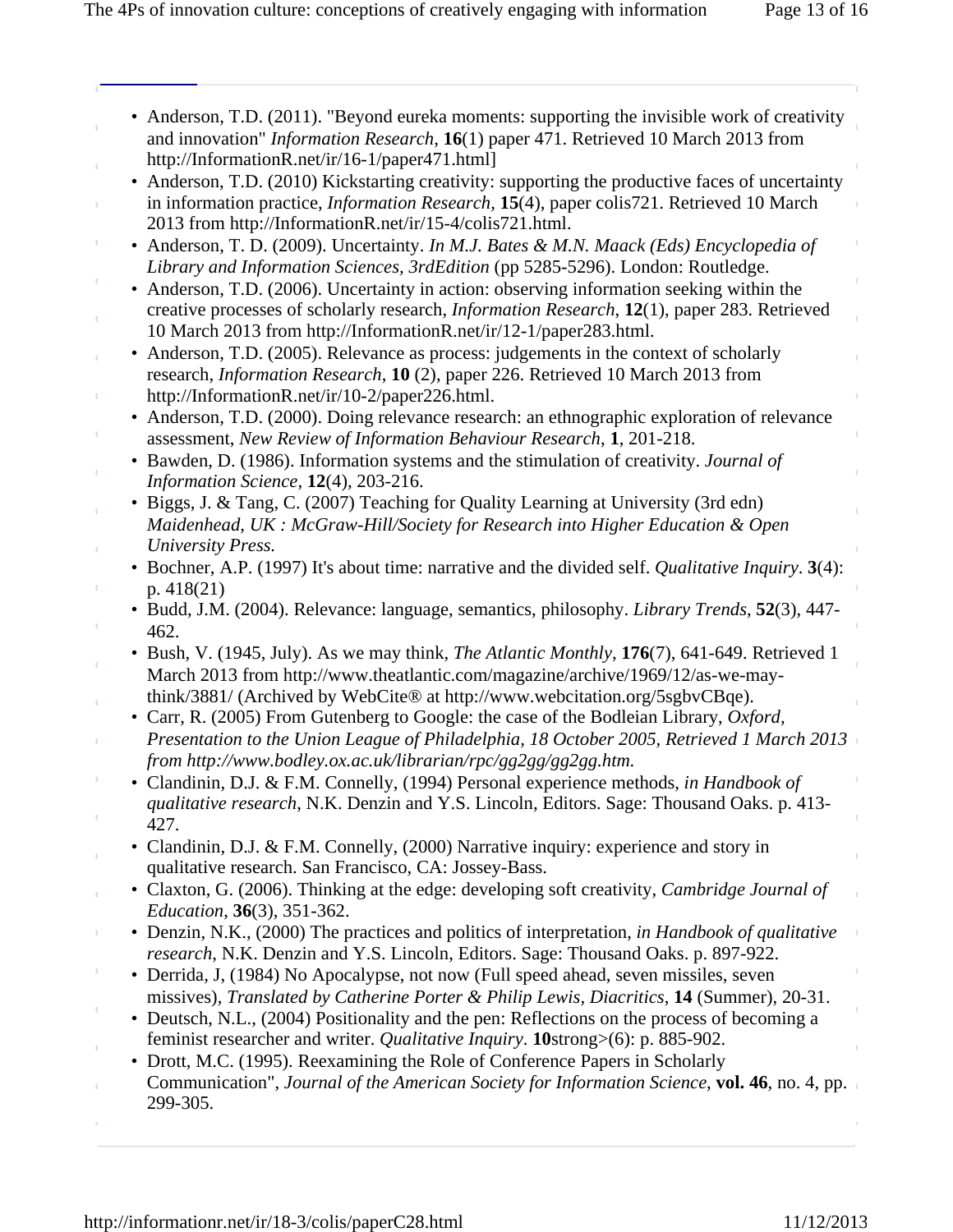| • Anderson, T.D. (2011). "Beyond eureka moments: supporting the invisible work of creativity     |
|--------------------------------------------------------------------------------------------------|
| and innovation" <i>Information Research</i> , 16(1) paper 471. Retrieved 10 March 2013 from      |
| http://InformationR.net/ir/16-1/paper471.html                                                    |
| • Anderson, T.D. (2010) Kickstarting creativity: supporting the productive faces of uncertainty  |
| in information practice, <i>Information Research</i> , 15(4), paper colis721. Retrieved 10 March |

2013 from http://InformationR.net/ir/15-4/colis721.html.

- Anderson, T. D. (2009). Uncertainty. *In M.J. Bates & M.N. Maack (Eds) Encyclopedia of Library and Information Sciences, 3rdEdition* (pp 5285-5296). London: Routledge.
- Anderson, T.D. (2006). Uncertainty in action: observing information seeking within the creative processes of scholarly research, *Information Research*, **12**(1), paper 283. Retrieved 10 March 2013 from http://InformationR.net/ir/12-1/paper283.html.
- Anderson, T.D. (2005). Relevance as process: judgements in the context of scholarly research, *Information Research*, **10** (2), paper 226. Retrieved 10 March 2013 from http://InformationR.net/ir/10-2/paper226.html.
- Anderson, T.D. (2000). Doing relevance research: an ethnographic exploration of relevance assessment, *New Review of Information Behaviour Research*, **1**, 201-218.
- Bawden, D. (1986). Information systems and the stimulation of creativity. *Journal of Information Science*, **12**(4), 203-216.
- Biggs, J. & Tang, C. (2007) Teaching for Quality Learning at University (3rd edn) *Maidenhead, UK : McGraw-Hill/Society for Research into Higher Education & Open University Press.*
- Bochner, A.P. (1997) It's about time: narrative and the divided self. *Qualitative Inquiry*. **3**(4): p. 418(21)
- Budd, J.M. (2004). Relevance: language, semantics, philosophy. *Library Trends*, **52**(3), 447- 462.
- Bush, V. (1945, July). As we may think, *The Atlantic Monthly*, **176**(7), 641-649. Retrieved 1 March 2013 from http://www.theatlantic.com/magazine/archive/1969/12/as-we-maythink/3881/ (Archived by WebCite® at http://www.webcitation.org/5sgbvCBqe).
- Carr, R. (2005) From Gutenberg to Google: the case of the Bodleian Library, *Oxford, Presentation to the Union League of Philadelphia, 18 October 2005, Retrieved 1 March 2013 from http://www.bodley.ox.ac.uk/librarian/rpc/gg2gg/gg2gg.htm.*
- Clandinin, D.J. & F.M. Connelly, (1994) Personal experience methods, *in Handbook of qualitative research*, N.K. Denzin and Y.S. Lincoln, Editors. Sage: Thousand Oaks. p. 413- 427.
- Clandinin, D.J. & F.M. Connelly, (2000) Narrative inquiry: experience and story in qualitative research. San Francisco, CA: Jossey-Bass.
- Claxton, G. (2006). Thinking at the edge: developing soft creativity, *Cambridge Journal of Education*, **36**(3), 351-362.
- Denzin, N.K., (2000) The practices and politics of interpretation, *in Handbook of qualitative research*, N.K. Denzin and Y.S. Lincoln, Editors. Sage: Thousand Oaks. p. 897-922.
- Derrida, J, (1984) No Apocalypse, not now (Full speed ahead, seven missiles, seven missives), *Translated by Catherine Porter & Philip Lewis, Diacritics*, **14** (Summer), 20-31.
- Deutsch, N.L., (2004) Positionality and the pen: Reflections on the process of becoming a feminist researcher and writer. *Qualitative Inquiry*. **10**strong>(6): p. 885-902.
- Drott, M.C. (1995). Reexamining the Role of Conference Papers in Scholarly Communication", *Journal of the American Society for Information Science*, **vol. 46**, no. 4, pp. 299-305.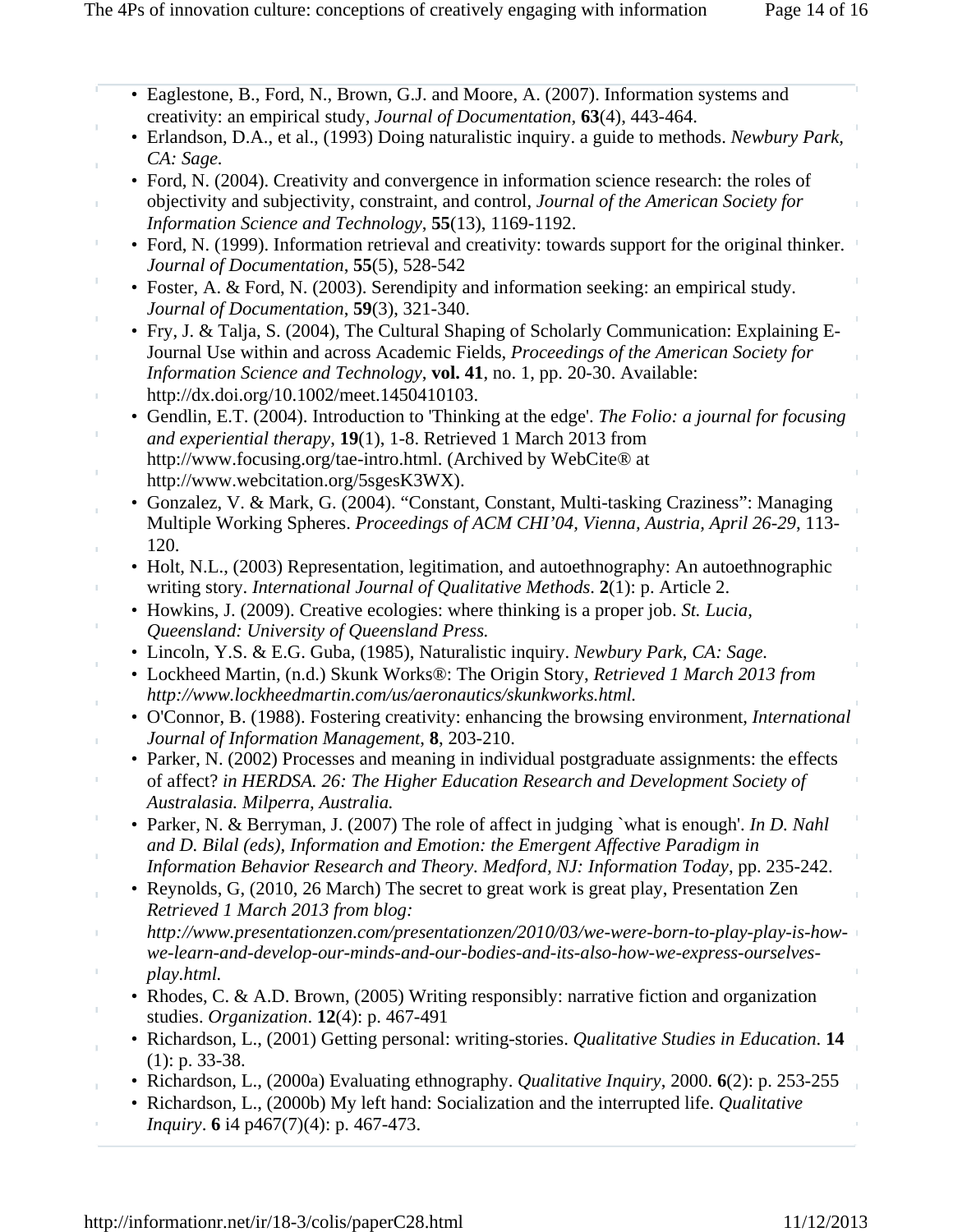| • Eaglestone, B., Ford, N., Brown, G.J. and Moore, A. (2007). Information systems and                                                                                            |
|----------------------------------------------------------------------------------------------------------------------------------------------------------------------------------|
| creativity: an empirical study, Journal of Documentation, 63(4), 443-464.                                                                                                        |
| • Erlandson, D.A., et al., (1993) Doing naturalistic inquiry. a guide to methods. Newbury Park,                                                                                  |
| CA: Sage.                                                                                                                                                                        |
| • Ford, N. (2004). Creativity and convergence in information science research: the roles of                                                                                      |
| objectivity and subjectivity, constraint, and control, Journal of the American Society for                                                                                       |
| Information Science and Technology, 55(13), 1169-1192.                                                                                                                           |
| • Ford, N. (1999). Information retrieval and creativity: towards support for the original thinker.<br>Journal of Documentation, 55(5), 528-542                                   |
| • Foster, A. & Ford, N. (2003). Serendipity and information seeking: an empirical study.<br>Journal of Documentation, 59(3), 321-340.                                            |
| • Fry, J. & Talja, S. (2004), The Cultural Shaping of Scholarly Communication: Explaining E-                                                                                     |
| Journal Use within and across Academic Fields, Proceedings of the American Society for                                                                                           |
| Information Science and Technology, vol. 41, no. 1, pp. 20-30. Available:                                                                                                        |
| http://dx.doi.org/10.1002/meet.1450410103.                                                                                                                                       |
| • Gendlin, E.T. (2004). Introduction to 'Thinking at the edge'. The Folio: a journal for focusing                                                                                |
| and experiential therapy, 19(1), 1-8. Retrieved 1 March 2013 from                                                                                                                |
| http://www.focusing.org/tae-intro.html. (Archived by WebCite® at                                                                                                                 |
| http://www.webcitation.org/5sgesK3WX).                                                                                                                                           |
| · Gonzalez, V. & Mark, G. (2004). "Constant, Constant, Multi-tasking Craziness": Managing                                                                                        |
| Multiple Working Spheres. Proceedings of ACM CHI'04, Vienna, Austria, April 26-29, 113-                                                                                          |
| 120.                                                                                                                                                                             |
| • Holt, N.L., (2003) Representation, legitimation, and autoethnography: An autoethnographic                                                                                      |
| writing story. International Journal of Qualitative Methods. 2(1): p. Article 2.                                                                                                 |
| • Howkins, J. (2009). Creative ecologies: where thinking is a proper job. St. Lucia,                                                                                             |
| Queensland: University of Queensland Press.                                                                                                                                      |
| • Lincoln, Y.S. & E.G. Guba, (1985), Naturalistic inquiry. Newbury Park, CA: Sage.                                                                                               |
| • Lockheed Martin, (n.d.) Skunk Works®: The Origin Story, Retrieved 1 March 2013 from<br>http://www.lockheedmartin.com/us/aeronautics/skunkworks.html.                           |
| • O'Connor, B. (1988). Fostering creativity: enhancing the browsing environment, <i>International</i>                                                                            |
| Journal of Information Management, 8, 203-210.                                                                                                                                   |
| • Parker, N. (2002) Processes and meaning in individual postgraduate assignments: the effects                                                                                    |
| of affect? in HERDSA. 26: The Higher Education Research and Development Society of                                                                                               |
| Australasia. Milperra, Australia.                                                                                                                                                |
| • Parker, N. & Berryman, J. (2007) The role of affect in judging `what is enough'. In D. Nahl<br>and D. Bilal (eds), Information and Emotion: the Emergent Affective Paradigm in |
| Information Behavior Research and Theory. Medford, NJ: Information Today, pp. 235-242.                                                                                           |
| • Reynolds, G, (2010, 26 March) The secret to great work is great play, Presentation Zen                                                                                         |
| Retrieved 1 March 2013 from blog:                                                                                                                                                |
| http://www.presentationzen.com/presentationzen/2010/03/we-were-born-to-play-play-is-how-                                                                                         |
| we-learn-and-develop-our-minds-and-our-bodies-and-its-also-how-we-express-ourselves-                                                                                             |
| play.html.                                                                                                                                                                       |
| • Rhodes, C. & A.D. Brown, (2005) Writing responsibly: narrative fiction and organization                                                                                        |
| studies. Organization. $12(4)$ : p. 467-491                                                                                                                                      |
| Richardson, L., (2001) Getting personal: writing-stories. Qualitative Studies in Education. 14                                                                                   |
| $(1)$ : p. 33-38.                                                                                                                                                                |
|                                                                                                                                                                                  |

- Richardson, L., (2000a) Evaluating ethnography. *Qualitative Inquiry*, 2000. **6**(2): p. 253-255  $\bar{1}$
- Richardson, L., (2000b) My left hand: Socialization and the interrupted life. *Qualitative Inquiry*. **6** i4 p467(7)(4): p. 467-473.

 $\bar{1}$ 

ł,